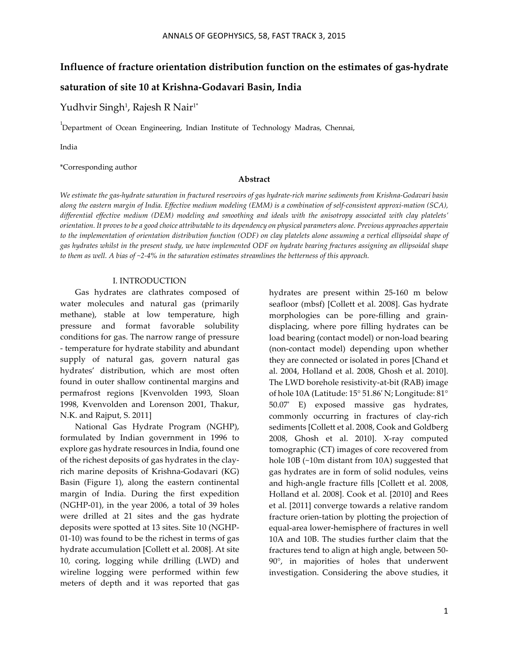# **Influence of fracture orientation distribution function on the estimates of gas-hydrate**

# saturation of site 10 at Krishna-Godavari Basin, India

Yudhvir Singh<sup>1</sup>, Rajesh R Nair<sup>1</sup>\*

<sup>1</sup>Department of Ocean Engineering, Indian Institute of Technology Madras, Chennai,

India

\*Corresponding author

### **Abstract**

We estimate the gas-hydrate saturation in fractured reservoirs of gas hydrate-rich marine sediments from Krishna-Godavari basin along the eastern margin of India. Effective medium modeling (EMM) is a combination of self-consistent approxi-mation (SCA), *differential effective medium (DEM) modeling and smoothing and ideals with the anisotropy associated with clay platelets' orientation. It proves to be a good choice attributable to its dependency on physical parameters alone. Previous approaches appertain to the implementation of orientation distribution function (ODF) on clay platelets alone assuming a vertical ellipsoidal shape of gas hydrates whilst in the present study, we have implemented ODF on hydrate bearing fractures assigning an ellipsoidal shape to them as well. A bias of ~2-‐‑4% in the saturation estimates streamlines the betterness of this approach.*

### I. INTRODUCTION

Gas hydrates are clathrates composed of water molecules and natural gas (primarily methane), stable at low temperature, high pressure and format favorable solubility conditions for gas. The narrow range of pressure -‐‑ temperature for hydrate stability and abundant supply of natural gas, govern natural gas hydrates' distribution, which are most often found in outer shallow continental margins and permafrost regions [Kvenvolden 1993, Sloan 1998, Kvenvolden and Lorenson 2001, Thakur, N.K. and Rajput, S. 2011]

National Gas Hydrate Program (NGHP), formulated by Indian government in 1996 to explore gas hydrate resources in India, found one of the richest deposits of gas hydrates in the clayrich marine deposits of Krishna-Godavari (KG) Basin (Figure 1), along the eastern continental margin of India. During the first expedition (NGHP-01), in the year 2006, a total of  $39$  holes were drilled at 21 sites and the gas hydrate deposits were spotted at 13 sites. Site 10 (NGHP- $(01-10)$  was found to be the richest in terms of gas hydrate accumulation [Collett et al. 2008]. At site 10, coring, logging while drilling (LWD) and wireline logging were performed within few meters of depth and it was reported that gas

hydrates are present within 25-160 m below seafloor (mbsf) [Collett et al. 2008]. Gas hydrate morphologies can be pore-filling and graindisplacing, where pore filling hydrates can be load bearing (contact model) or non-load bearing (non-contact model) depending upon whether they are connected or isolated in pores [Chand et al. 2004, Holland et al. 2008, Ghosh et al. 2010]. The LWD borehole resistivity-at-bit (RAB) image of hole 10A (Latitude: 15° 51.86' N; Longitude: 81° 50.07' E) exposed massive gas hydrates, commonly occurring in fractures of clay-rich sediments [Collett et al. 2008, Cook and Goldberg 2008, Ghosh et al. 2010]. X-ray computed tomographic (CT) images of core recovered from hole 10B (~10m distant from 10A) suggested that gas hydrates are in form of solid nodules, veins and high-angle fracture fills [Collett et al. 2008, Holland et al. 2008]. Cook et al. [2010] and Rees et al. [2011] converge towards a relative random fracture orien-tation by plotting the projection of equal-area lower-hemisphere of fractures in well 10A and 10B. The studies further claim that the fractures tend to align at high angle, between 50-90°, in majorities of holes that underwent investigation. Considering the above studies, it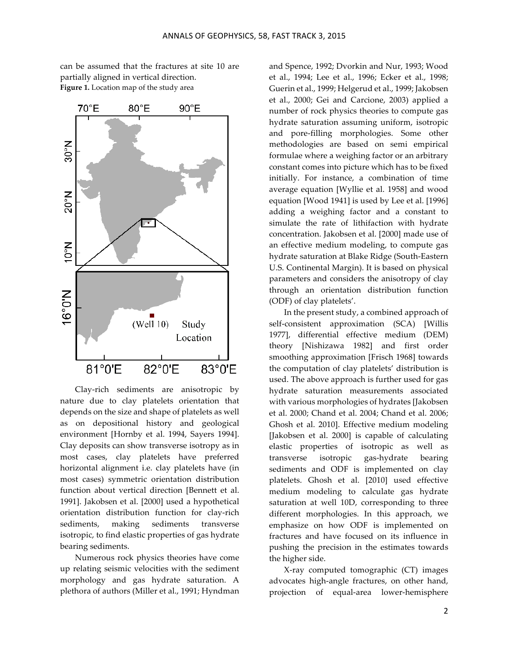

can be assumed that the fractures at site 10 are partially aligned in vertical direction. **Figure 1.** Location map of the study area

Clay-rich sediments are anisotropic by nature due to clay platelets orientation that depends on the size and shape of platelets as well as on depositional history and geological environment [Hornby et al. 1994, Sayers 1994]. Clay deposits can show transverse isotropy as in most cases, clay platelets have preferred horizontal alignment i.e. clay platelets have (in most cases) symmetric orientation distribution function about vertical direction [Bennett et al. 1991]. Jakobsen et al. [2000] used a hypothetical orientation distribution function for clay-rich sediments, making sediments transverse isotropic, to find elastic properties of gas hydrate bearing sediments.

Numerous rock physics theories have come up relating seismic velocities with the sediment morphology and gas hydrate saturation. A plethora of authors (Miller et al., 1991; Hyndman

and Spence, 1992; Dvorkin and Nur, 1993; Wood et al., 1994; Lee et al., 1996; Ecker et al., 1998; Guerin et al., 1999; Helgerud et al., 1999; Jakobsen et al., 2000; Gei and Carcione, 2003) applied a number of rock physics theories to compute gas hydrate saturation assuming uniform, isotropic and pore-filling morphologies. Some other methodologies are based on semi empirical formulae where a weighing factor or an arbitrary constant comes into picture which has to be fixed initially. For instance, a combination of time average equation [Wyllie et al. 1958] and wood equation [Wood 1941] is used by Lee et al. [1996] adding a weighing factor and a constant to simulate the rate of lithifaction with hydrate concentration. Jakobsen et al. [2000] made use of an effective medium modeling, to compute gas hydrate saturation at Blake Ridge (South-Eastern U.S. Continental Margin). It is based on physical parameters and considers the anisotropy of clay through an orientation distribution function (ODF) of clay platelets'.

In the present study, a combined approach of self-consistent approximation (SCA) [Willis 1977], differential effective medium (DEM) theory [Nishizawa 1982] and first order smoothing approximation [Frisch 1968] towards the computation of clay platelets' distribution is used. The above approach is further used for gas hydrate saturation measurements associated with various morphologies of hydrates [Jakobsen et al. 2000; Chand et al. 2004; Chand et al. 2006; Ghosh et al. 2010]. Effective medium modeling [Jakobsen et al. 2000] is capable of calculating elastic properties of isotropic as well as transverse isotropic gas-hydrate bearing sediments and ODF is implemented on clay platelets. Ghosh et al. [2010] used effective medium modeling to calculate gas hydrate saturation at well 10D, corresponding to three different morphologies. In this approach, we emphasize on how ODF is implemented on fractures and have focused on its influence in pushing the precision in the estimates towards the higher side.

X-ray computed tomographic (CT) images advocates high-angle fractures, on other hand, projection of equal-area lower-hemisphere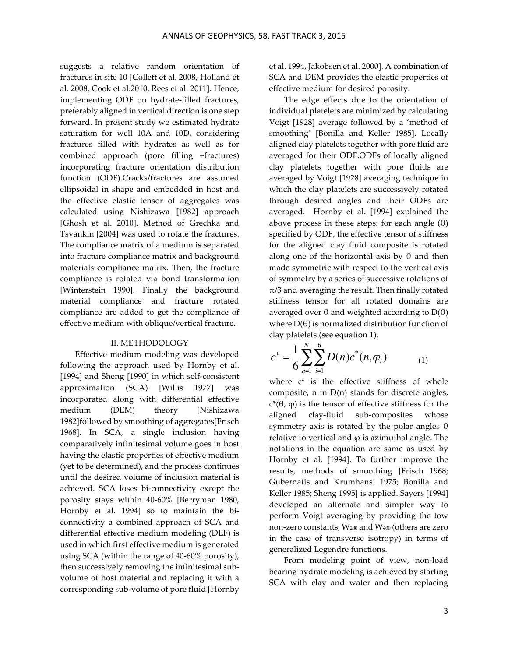suggests a relative random orientation of fractures in site 10 [Collett et al. 2008, Holland et al. 2008, Cook et al.2010, Rees et al. 2011]. Hence, implementing ODF on hydrate-filled fractures, preferably aligned in vertical direction is one step forward. In present study we estimated hydrate saturation for well 10A and 10D, considering fractures filled with hydrates as well as for combined approach (pore filling +fractures) incorporating fracture orientation distribution function (ODF).Cracks/fractures are assumed ellipsoidal in shape and embedded in host and the effective elastic tensor of aggregates was calculated using Nishizawa [1982] approach [Ghosh et al. 2010]. Method of Grechka and Tsvankin [2004] was used to rotate the fractures. The compliance matrix of a medium is separated into fracture compliance matrix and background materials compliance matrix. Then, the fracture compliance is rotated via bond transformation [Winterstein 1990]. Finally the background material compliance and fracture rotated compliance are added to get the compliance of effective medium with oblique/vertical fracture.

### II. METHODOLOGY

Effective medium modeling was developed following the approach used by Hornby et al. [1994] and Sheng [1990] in which self-consistent approximation (SCA) [Willis 1977] was incorporated along with differential effective medium (DEM) theory [Nishizawa 1982]followed by smoothing of aggregates[Frisch 1968]. In SCA, a single inclusion having comparatively infinitesimal volume goes in host having the elastic properties of effective medium (yet to be determined), and the process continues until the desired volume of inclusion material is achieved. SCA loses bi-connectivity except the porosity stays within 40-60% [Berryman 1980, Hornby et al. 1994] so to maintain the biconnectivity a combined approach of SCA and differential effective medium modeling (DEF) is used in which first effective medium is generated using  $SCA$  (within the range of  $40-60\%$  porosity), then successively removing the infinitesimal subvolume of host material and replacing it with a corresponding sub-volume of pore fluid [Hornby

et al. 1994, Jakobsen et al. 2000]. A combination of SCA and DEM provides the elastic properties of effective medium for desired porosity.

The edge effects due to the orientation of individual platelets are minimized by calculating Voigt [1928] average followed by a 'method of smoothing' [Bonilla and Keller 1985]. Locally aligned clay platelets together with pore fluid are averaged for their ODF.ODFs of locally aligned clay platelets together with pore fluids are averaged by Voigt [1928] averaging technique in which the clay platelets are successively rotated through desired angles and their ODFs are averaged. Hornby et al. [1994] explained the above process in these steps: for each angle  $(\theta)$ specified by ODF, the effective tensor of stiffness for the aligned clay fluid composite is rotated along one of the horizontal axis by  $\theta$  and then made symmetric with respect to the vertical axis of symmetry by a series of successive rotations of  $\pi/3$  and averaging the result. Then finally rotated stiffness tensor for all rotated domains are averaged over  $θ$  and weighted according to  $D(θ)$ where  $D(\theta)$  is normalized distribution function of clay platelets (see equation 1).

$$
c^{\nu} = \frac{1}{6} \sum_{n=1}^{N} \sum_{i=1}^{6} D(n) c^{*}(n, \varphi_{i})
$$
 (1)

where  $c<sup>v</sup>$  is the effective stiffness of whole composite,  $n$  in  $D(n)$  stands for discrete angles,  $c^*(θ, φ)$  is the tensor of effective stiffness for the aligned clay-fluid sub-composites whose symmetry axis is rotated by the polar angles  $\theta$ relative to vertical and  $\varphi$  is azimuthal angle. The notations in the equation are same as used by Hornby et al. [1994]. To further improve the results, methods of smoothing [Frisch 1968; Gubernatis and Krumhansl 1975; Bonilla and Keller 1985; Sheng 1995] is applied. Sayers [1994] developed an alternate and simpler way to perform Voigt averaging by providing the tow non-zero constants, W<sub>200</sub> and W<sub>400</sub> (others are zero in the case of transverse isotropy) in terms of generalized Legendre functions.

From modeling point of view, non-load bearing hydrate modeling is achieved by starting SCA with clay and water and then replacing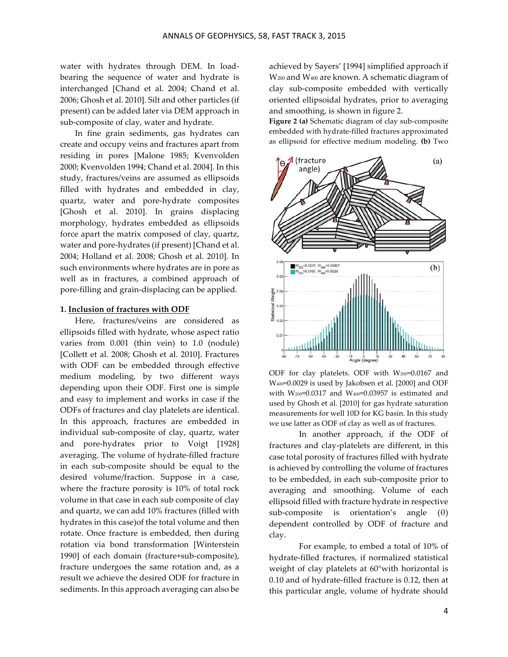water with hydrates through DEM. In loadbearing the sequence of water and hydrate is interchanged [Chand et al. 2004; Chand et al. 2006; Ghosh et al. 2010]. Silt and other particles (if present) can be added later via DEM approach in sub-composite of clay, water and hydrate.

In fine grain sediments, gas hydrates can create and occupy veins and fractures apart from residing in pores [Malone 1985; Kvenvolden 2000; Kvenvolden 1994; Chand et al. 2004]. In this study, fractures/veins are assumed as ellipsoids filled with hydrates and embedded in clay, quartz, water and pore-hydrate composites [Ghosh et al. 2010]. In grains displacing morphology, hydrates embedded as ellipsoids force apart the matrix composed of clay, quartz, water and pore-hydrates (if present) [Chand et al. 2004; Holland et al. 2008; Ghosh et al. 2010]. In such environments where hydrates are in pore as well as in fractures, a combined approach of pore-filling and grain-displacing can be applied.

#### **1. Inclusion of fractures with ODF**

Here, fractures/veins are considered as ellipsoids filled with hydrate, whose aspect ratio varies from  $0.001$  (thin vein) to  $1.0$  (nodule) [Collett et al. 2008; Ghosh et al. 2010]. Fractures with ODF can be embedded through effective medium modeling, by two different ways depending upon their ODF. First one is simple and easy to implement and works in case if the ODFs of fractures and clay platelets are identical. In this approach, fractures are embedded in individual sub-composite of clay, quartz, water and pore-hydrates prior to Voigt [1928] averaging. The volume of hydrate-filled fracture in each sub-composite should be equal to the desired volume/fraction. Suppose in a case, where the fracture porosity is 10% of total rock volume in that case in each sub composite of clay and quartz, we can add 10% fractures (filled with hydrates in this case)of the total volume and then rotate. Once fracture is embedded, then during rotation via bond transformation [Winterstein 1990] of each domain (fracture+sub-composite), fracture undergoes the same rotation and, as a result we achieve the desired ODF for fracture in sediments. In this approach averaging can also be

achieved by Sayers' [1994] simplified approach if W<sub>200</sub> and W<sub>400</sub> are known. A schematic diagram of clay sub-composite embedded with vertically oriented ellipsoidal hydrates, prior to averaging and smoothing, is shown in figure 2.

Figure 2 (a) Schematic diagram of clay sub-composite embedded with hydrate-filled fractures approximated as ellipsoid for effective medium modeling. (b) Two



ODF for clay platelets. ODF with  $W_{200}$ =0.0167 and W<sub>400</sub>=0.0029 is used by Jakobsen et al. [2000] and ODF with  $W_{200}=0.0317$  and  $W_{400}=0.03957$  is estimated and used by Ghosh et al. [2010] for gas hydrate saturation measurements for well 10D for KG basin. In this study we use latter as ODF of clay as well as of fractures.

In another approach, if the ODF of fractures and clay-platelets are different, in this case total porosity of fractures filled with hydrate is achieved by controlling the volume of fractures to be embedded, in each sub-composite prior to averaging and smoothing. Volume of each ellipsoid filled with fracture hydrate in respective sub-composite is orientation's angle  $(\theta)$ dependent controlled by ODF of fracture and clay.

For example, to embed a total of 10% of hydrate-filled fractures, if normalized statistical weight of clay platelets at  $60^{\circ}$ with horizontal is 0.10 and of hydrate-filled fracture is  $0.12$ , then at this particular angle, volume of hydrate should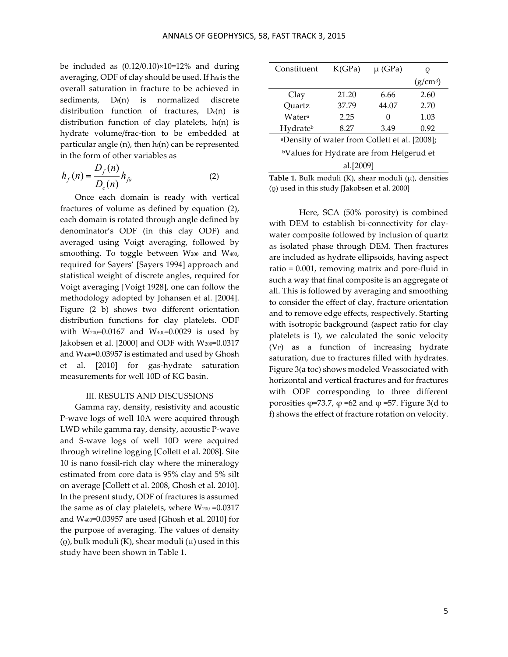be included as  $(0.12/0.10) \times 10 = 12\%$  and during averaging, ODF of clay should be used. If hfa is the overall saturation in fracture to be achieved in sediments,  $D_f(n)$  is normalized discrete distribution function of fractures,  $D_c(n)$  is distribution function of clay platelets,  $h_f(n)$  is hydrate volume/frac-tion to be embedded at particular angle  $(n)$ , then  $h(f)$  can be represented in the form of other variables as

$$
h_f(n) = \frac{D_f(n)}{D_c(n)} h_{fa}
$$
 (2)

Once each domain is ready with vertical fractures of volume as defined by equation  $(2)$ , each domain is rotated through angle defined by denominator's ODF (in this clay ODF) and averaged using Voigt averaging, followed by smoothing. To toggle between  $W_{200}$  and  $W_{400}$ , required for Sayers' [Sayers 1994] approach and statistical weight of discrete angles, required for Voigt averaging [Voigt 1928], one can follow the methodology adopted by Johansen et al. [2004]. Figure (2 b) shows two different orientation distribution functions for clay platelets. ODF with W<sub>200</sub>=0.0167 and W<sub>400</sub>=0.0029 is used by Jakobsen et al.  $[2000]$  and ODF with  $W_{200}$ =0.0317 and W400=0.03957 is estimated and used by Ghosh et al. [2010] for gas-hydrate saturation measurements for well 10D of KG basin.

### III. RESULTS AND DISCUSSIONS

Gamma ray, density, resistivity and acoustic P-wave logs of well 10A were acquired through LWD while gamma ray, density, acoustic P-wave and S-wave logs of well 10D were acquired through wireline logging [Collett et al. 2008]. Site 10 is nano fossil-rich clay where the mineralogy estimated from core data is 95% clay and 5% silt on average [Collett et al. 2008, Ghosh et al. 2010]. In the present study, ODF of fractures is assumed the same as of clay platelets, where  $W_{200} = 0.0317$ and W400=0.03957 are used [Ghosh et al. 2010] for the purpose of averaging. The values of density ( $\varrho$ ), bulk moduli (K), shear moduli  $(\mu)$  used in this study have been shown in Table 1.

| Constituent                                               | K(GPa) | $\mu$ (GPa)  |            |
|-----------------------------------------------------------|--------|--------------|------------|
|                                                           |        |              | $(g/cm^3)$ |
| Clay                                                      | 21.20  | 6.66         | 2.60       |
| Quartz                                                    | 37.79  | 44.07        | 2.70       |
| Water <sup>a</sup>                                        | 2.25   | $\mathbf{0}$ | 1.03       |
| Hydrateb                                                  | 8.27   | 3.49         | 0.92       |
| <sup>a</sup> Density of water from Collett et al. [2008]; |        |              |            |
| <sup>b</sup> Values for Hydrate are from Helgerud et      |        |              |            |
| al.[2009]                                                 |        |              |            |

**Table 1.** Bulk moduli (K), shear moduli (μ), densities (ρ) used in this study [Jakobsen et al. 2000]

Here, SCA (50% porosity) is combined with DEM to establish bi-connectivity for claywater composite followed by inclusion of quartz as isolated phase through DEM. Then fractures are included as hydrate ellipsoids, having aspect  $ratio = 0.001$ , removing matrix and pore-fluid in such a way that final composite is an aggregate of all. This is followed by averaging and smoothing to consider the effect of clay, fracture orientation and to remove edge effects, respectively. Starting with isotropic background (aspect ratio for clay platelets is 1), we calculated the sonic velocity  $(V<sub>P</sub>)$  as a function of increasing hydrate saturation, due to fractures filled with hydrates. Figure 3(a toc) shows modeled VP associated with horizontal and vertical fractures and for fractures with ODF corresponding to three different porosities  $\varphi$ =73.7,  $\varphi$  =62 and  $\varphi$  =57. Figure 3(d to f) shows the effect of fracture rotation on velocity.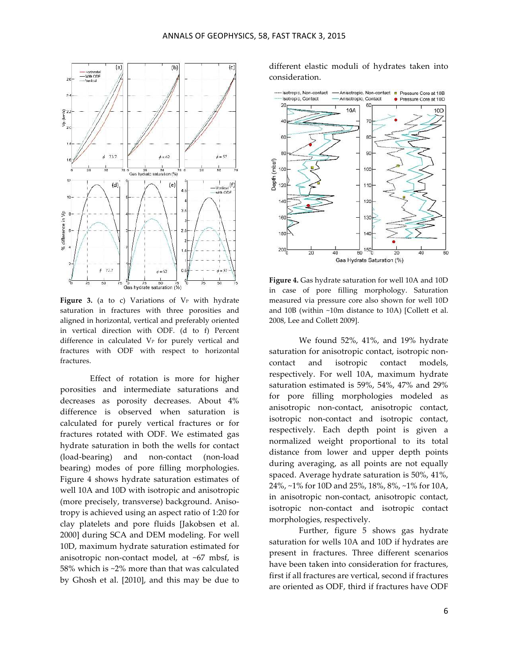

Figure 3. (a to c) Variations of V<sub>P</sub> with hydrate saturation in fractures with three porosities and aligned in horizontal, vertical and preferably oriented in vertical direction with ODF. (d to f) Percent difference in calculated V<sub>P</sub> for purely vertical and fractures with ODF with respect to horizontal fractures.

Effect of rotation is more for higher porosities and intermediate saturations and decreases as porosity decreases. About 4% difference is observed when saturation is calculated for purely vertical fractures or for fractures rotated with ODF. We estimated gas hydrate saturation in both the wells for contact (load-bearing) and non-contact (non-load bearing) modes of pore filling morphologies. Figure 4 shows hydrate saturation estimates of well 10A and 10D with isotropic and anisotropic (more precisely, transverse) background. Anisotropy is achieved using an aspect ratio of 1:20 for clay platelets and pore fluids [Jakobsen et al. 2000] during SCA and DEM modeling. For well 10D, maximum hydrate saturation estimated for anisotropic non-contact model, at  $~67$  mbsf, is 58% which is ~2% more than that was calculated by Ghosh et al. [2010], and this may be due to

different elastic moduli of hydrates taken into consideration.



**Figure 4.** Gas hydrate saturation for well 10A and 10D in case of pore filling morphology. Saturation measured via pressure core also shown for well 10D and  $10B$  (within  $~10m$  distance to  $10A$ ) [Collett et al. 2008, Lee and Collett 2009].

We found 52%, 41%, and 19% hydrate saturation for anisotropic contact, isotropic noncontact and isotropic contact models, respectively. For well 10A, maximum hydrate saturation estimated is  $59\%$ ,  $54\%$ ,  $47\%$  and  $29\%$ for pore filling morphologies modeled as anisotropic non-contact, anisotropic contact, isotropic non-contact and isotropic contact, respectively. Each depth point is given a normalized weight proportional to its total distance from lower and upper depth points during averaging, as all points are not equally spaced. Average hydrate saturation is 50%, 41%, 24%, ~1% for 10D and 25%, 18%, 8%, ~1% for 10A, in anisotropic non-contact, anisotropic contact, isotropic non-contact and isotropic contact morphologies, respectively.

Further, figure 5 shows gas hydrate saturation for wells 10A and 10D if hydrates are present in fractures. Three different scenarios have been taken into consideration for fractures, first if all fractures are vertical, second if fractures are oriented as ODF, third if fractures have ODF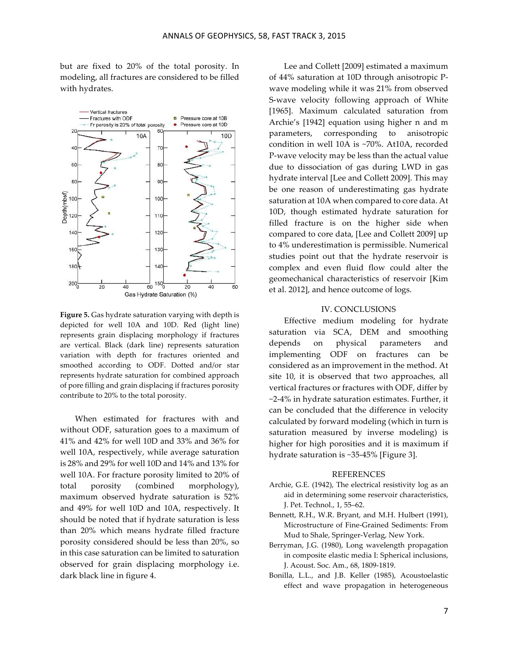but are fixed to 20% of the total porosity. In modeling, all fractures are considered to be filled with hydrates.



**Figure 5.** Gas hydrate saturation varying with depth is depicted for well 10A and 10D. Red (light line) represents grain displacing morphology if fractures are vertical. Black (dark line) represents saturation variation with depth for fractures oriented and smoothed according to ODF. Dotted and/or star represents hydrate saturation for combined approach of pore filling and grain displacing if fractures porosity contribute to 20% to the total porosity.

When estimated for fractures with and without ODF, saturation goes to a maximum of 41% and 42% for well 10D and 33% and 36% for well 10A, respectively, while average saturation is 28% and 29% for well 10D and 14% and 13% for well 10A. For fracture porosity limited to 20% of total porosity (combined morphology), maximum observed hydrate saturation is 52% and 49% for well 10D and 10A, respectively. It should be noted that if hydrate saturation is less than 20% which means hydrate filled fracture porosity considered should be less than 20%, so in this case saturation can be limited to saturation observed for grain displacing morphology i.e. dark black line in figure 4.

Lee and Collett [2009] estimated a maximum of 44% saturation at 10D through anisotropic Pwave modeling while it was 21% from observed S-wave velocity following approach of White [1965]. Maximum calculated saturation from Archie's [1942] equation using higher n and m parameters, corresponding to anisotropic condition in well 10A is ~70%. At10A, recorded P-wave velocity may be less than the actual value due to dissociation of gas during LWD in gas hydrate interval [Lee and Collett 2009]. This may be one reason of underestimating gas hydrate saturation at 10A when compared to core data. At 10D, though estimated hydrate saturation for filled fracture is on the higher side when compared to core data, [Lee and Collett 2009] up to 4% underestimation is permissible. Numerical studies point out that the hydrate reservoir is complex and even fluid flow could alter the geomechanical characteristics of reservoir [Kim et al. 2012], and hence outcome of logs.

#### IV. CONCLUSIONS

Effective medium modeling for hydrate saturation via SCA, DEM and smoothing depends on physical parameters and implementing ODF on fractures can be considered as an improvement in the method. At site 10, it is observed that two approaches, all vertical fractures or fractures with ODF, differ by  $\sim$ 2-4% in hydrate saturation estimates. Further, it can be concluded that the difference in velocity calculated by forward modeling (which in turn is saturation measured by inverse modeling) is higher for high porosities and it is maximum if hydrate saturation is  $~35-45\%$  [Figure 3].

#### REFERENCES

- Archie, G.E. (1942), The electrical resistivity log as an aid in determining some reservoir characteristics, J. Pet. Technol., 1, 55–62.
- Bennett, R.H., W.R. Bryant, and M.H. Hulbert (1991), Microstructure of Fine-Grained Sediments: From Mud to Shale, Springer-Verlag, New York.
- Berryman, J.G. (1980), Long wavelength propagation in composite elastic media I: Spherical inclusions, J. Acoust. Soc. Am., 68, 1809-1819.
- Bonilla, L.L., and J.B. Keller (1985), Acoustoelastic effect and wave propagation in heterogeneous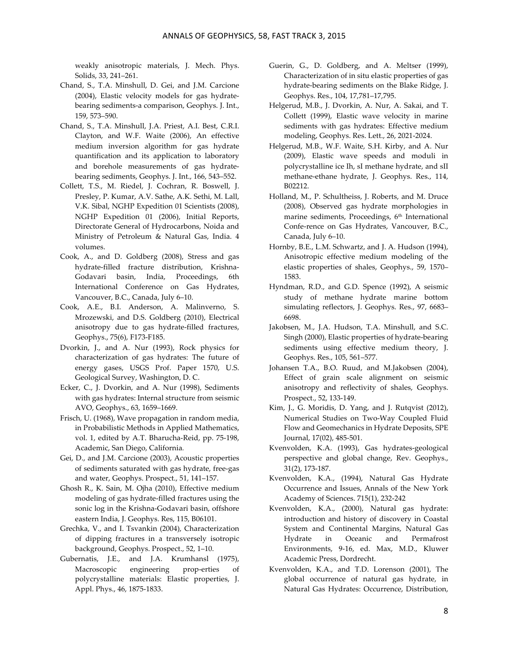weakly anisotropic materials, J. Mech. Phys. Solids, 33, 241–261.

- Chand, S., T.A. Minshull, D. Gei, and J.M. Carcione (2004), Elastic velocity models for gas hydratebearing sediments-a comparison, Geophys. J. Int., 159, 573–590.
- Chand, S., T.A. Minshull, J.A. Priest, A.I. Best, C.R.I. Clayton, and W.F. Waite (2006), An effective medium inversion algorithm for gas hydrate quantification and its application to laboratory and borehole measurements of gas hydratebearing sediments, Geophys. J. Int., 166, 543–552.
- Collett, T.S., M. Riedel, J. Cochran, R. Boswell, J. Presley, P. Kumar, A.V. Sathe, A.K. Sethi, M. Lall, V.K. Sibal, NGHP Expedition 01 Scientists (2008), NGHP Expedition 01 (2006), Initial Reports, Directorate General of Hydrocarbons, Noida and Ministry of Petroleum & Natural Gas, India. 4 volumes.
- Cook, A., and D. Goldberg (2008), Stress and gas hydrate-filled fracture distribution, Krishna-Godavari basin, India, Proceedings, 6th International Conference on Gas Hydrates, Vancouver, B.C., Canada, July 6–10.
- Cook, A.E., B.I. Anderson, A. Malinverno, S. Mrozewski, and D.S. Goldberg (2010), Electrical anisotropy due to gas hydrate-filled fractures, Geophys., 75(6), F173-F185.
- Dvorkin, J., and A. Nur (1993), Rock physics for characterization of gas hydrates: The future of energy gases, USGS Prof. Paper 1570, U.S. Geological Survey, Washington, D. C.
- Ecker, C., J. Dvorkin, and A. Nur (1998), Sediments with gas hydrates: Internal structure from seismic AVO, Geophys., 63, 1659–1669.
- Frisch, U. (1968), Wave propagation in random media, in Probabilistic Methods in Applied Mathematics, vol. 1, edited by A.T. Bharucha-Reid, pp. 75-198, Academic, San Diego, California*.*
- Gei, D., and J.M. Carcione (2003), Acoustic properties of sediments saturated with gas hydrate, free-gas and water, Geophys. Prospect., 51, 141-157.
- Ghosh R., K. Sain, M. Ojha (2010), Effective medium modeling of gas hydrate-filled fractures using the sonic log in the Krishna-Godavari basin, offshore eastern India, J. Geophys. Res, 115, B06101.
- Grechka, V., and I. Tsvankin (2004), Characterization of dipping fractures in a transversely isotropic background, Geophys. Prospect., 52, 1–10.
- Gubernatis, J.E., and J.A. Krumhansl (1975), Macroscopic engineering prop-erties of polycrystalline materials: Elastic properties, J. Appl. Phys., 46, 1875-1833.
- Guerin, G., D. Goldberg, and A. Meltser (1999), Characterization of in situ elastic properties of gas hydrate-bearing sediments on the Blake Ridge, J. Geophys. Res., 104, 17,781–17,795.
- Helgerud, M.B., J. Dvorkin, A. Nur, A. Sakai, and T. Collett (1999), Elastic wave velocity in marine sediments with gas hydrates: Effective medium modeling, Geophys. Res. Lett., 26, 2021-2024.
- Helgerud, M.B., W.F. Waite, S.H. Kirby, and A. Nur (2009), Elastic wave speeds and moduli in polycrystalline ice Ih, sI methane hydrate, and sII methane-ethane hydrate, J. Geophys. Res., 114, B02212.
- Holland, M., P. Schultheiss, J. Roberts, and M. Druce (2008), Observed gas hydrate morphologies in marine sediments, Proceedings, 6<sup>th</sup> International Confe-rence on Gas Hydrates, Vancouver, B.C., Canada, July 6–10.
- Hornby, B.E., L.M. Schwartz, and J. A. Hudson (1994), Anisotropic effective medium modeling of the elastic properties of shales, Geophys., 59, 1570– 1583.
- Hyndman, R.D., and G.D. Spence (1992), A seismic study of methane hydrate marine bottom simulating reflectors, J. Geophys. Res., 97, 6683-6698.
- Jakobsen, M., J.A. Hudson, T.A. Minshull, and S.C. Singh (2000), Elastic properties of hydrate-bearing sediments using effective medium theory, J. Geophys. Res., 105, 561–577.
- Johansen T.A., B.O. Ruud, and M.Jakobsen (2004), Effect of grain scale alignment on seismic anisotropy and reflectivity of shales, Geophys. Prospect., 52, 133-149.
- Kim, J., G. Moridis, D. Yang, and J. Rutqvist (2012), Numerical Studies on Two-Way Coupled Fluid Flow and Geomechanics in Hydrate Deposits, SPE Journal, 17(02), 485-501.
- Kvenvolden, K.A. (1993), Gas hydrates-geological perspective and global change, Rev. Geophys., 31(2), 173-187.
- Kvenvolden, K.A., (1994), Natural Gas Hydrate Occurrence and Issues, Annals of the New York Academy of Sciences. 715(1), 232-242
- Kvenvolden, K.A., (2000), Natural gas hydrate: introduction and history of discovery in Coastal System and Continental Margins, Natural Gas Hydrate in Oceanic and Permafrost Environments, 9-16, ed. Max, M.D., Kluwer Academic Press, Dordrecht.
- Kvenvolden, K.A., and T.D. Lorenson (2001), The global occurrence of natural gas hydrate, in Natural Gas Hydrates: Occurrence, Distribution,